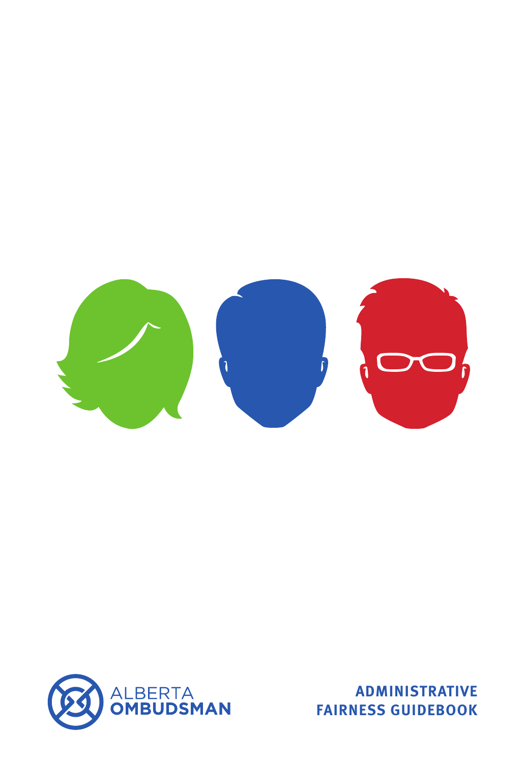



**ADMINISTRATIVE FAIRNESS GUIDEBOOK**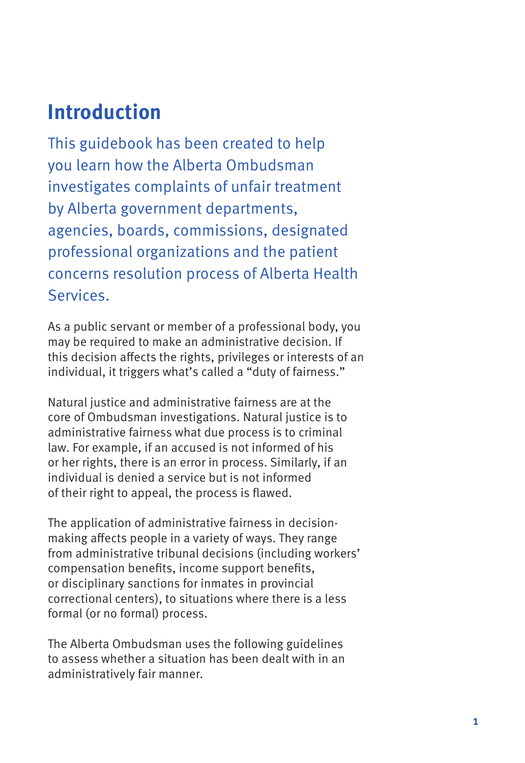### **Introduction**

This guidebook has been created to help you learn how the Alberta Ombudsman investigates complaints of unfair treatment by Alberta government departments, agencies, boards, commissions, designated professional organizations and the patient concerns resolution process of Alberta Health Services.

As a public servant or member of a professional body, you may be required to make an administrative decision. If this decision affects the rights, privileges or interests of an individual, it triggers what's called a "duty of fairness."

Natural justice and administrative fairness are at the core of Ombudsman investigations. Natural justice is to administrative fairness what due process is to criminal law. For example, if an accused is not informed of his or her rights, there is an error in process. Similarly, if an individual is denied a service but is not informed of their right to appeal, the process is flawed.

The application of administrative fairness in decisionmaking affects people in a variety of ways. They range from administrative tribunal decisions (including workers' compensation benefits, income support benefits, or disciplinary sanctions for inmates in provincial correctional centers), to situations where there is a less formal (or no formal) process.

The Alberta Ombudsman uses the following guidelines to assess whether a situation has been dealt with in an administratively fair manner.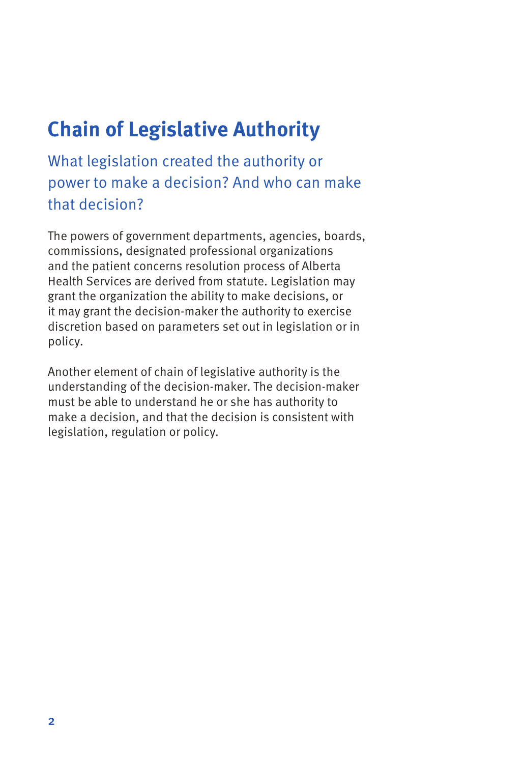# **Chain of Legislative Authority**

What legislation created the authority or power to make a decision? And who can make that decision?

The powers of government departments, agencies, boards, commissions, designated professional organizations and the patient concerns resolution process of Alberta Health Services are derived from statute. Legislation may grant the organization the ability to make decisions, or it may grant the decision-maker the authority to exercise discretion based on parameters set out in legislation or in policy.

Another element of chain of legislative authority is the understanding of the decision-maker. The decision-maker must be able to understand he or she has authority to make a decision, and that the decision is consistent with legislation, regulation or policy.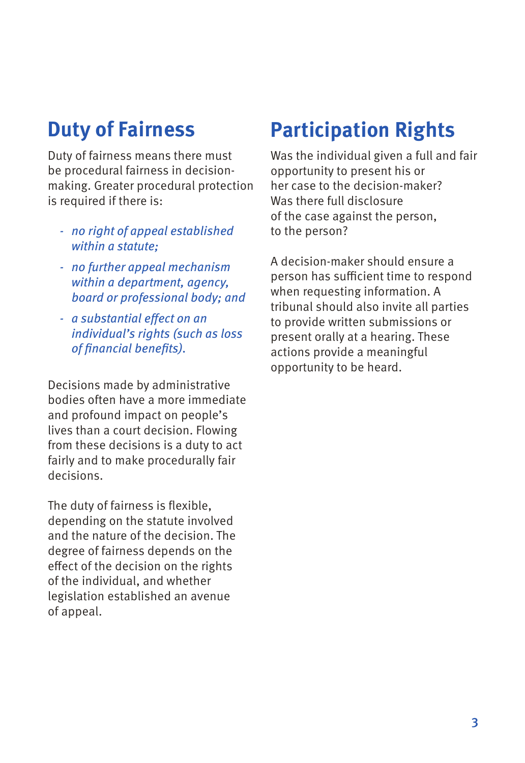### **Duty of Fairness**

Duty of fairness means there must be procedural fairness in decisionmaking. Greater procedural protection is required if there is:

- *- no right of appeal established within a statute;*
- *- no further appeal mechanism within a department, agency, board or professional body; and*
- *- a substantial effect on an individual's rights (such as loss of financial benefits).*

Decisions made by administrative bodies often have a more immediate and profound impact on people's lives than a court decision. Flowing from these decisions is a duty to act fairly and to make procedurally fair decisions.

The duty of fairness is flexible, depending on the statute involved and the nature of the decision. The degree of fairness depends on the effect of the decision on the rights of the individual, and whether legislation established an avenue of appeal.

### **Participation Rights**

Was the individual given a full and fair opportunity to present his or her case to the decision-maker? Was there full disclosure of the case against the person, to the person?

A decision-maker should ensure a person has sufficient time to respond when requesting information. A tribunal should also invite all parties to provide written submissions or present orally at a hearing. These actions provide a meaningful opportunity to be heard.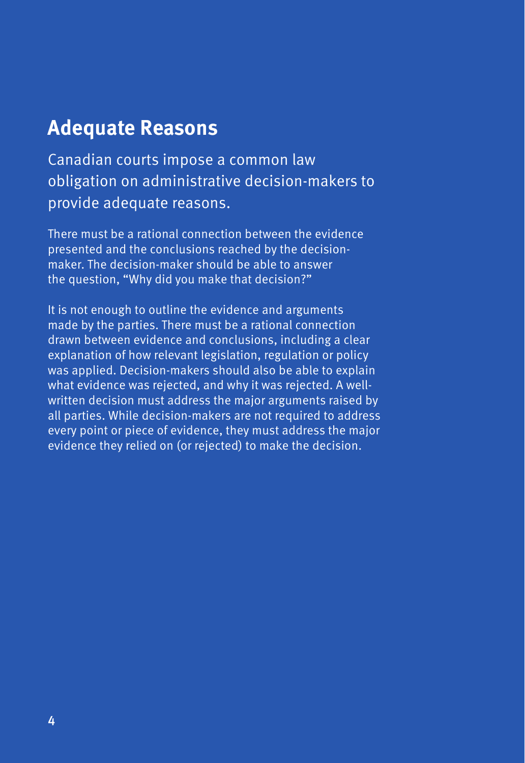### **Adequate Reasons**

Canadian courts impose a common law obligation on administrative decision-makers to provide adequate reasons.

There must be a rational connection between the evidence presented and the conclusions reached by the decisionmaker. The decision-maker should be able to answer the question, "Why did you make that decision?"

It is not enough to outline the evidence and arguments made by the parties. There must be a rational connection drawn between evidence and conclusions, including a clear explanation of how relevant legislation, regulation or policy was applied. Decision-makers should also be able to explain what evidence was rejected, and why it was rejected. A wellwritten decision must address the major arguments raised by all parties. While decision-makers are not required to address every point or piece of evidence, they must address the major evidence they relied on (or rejected) to make the decision.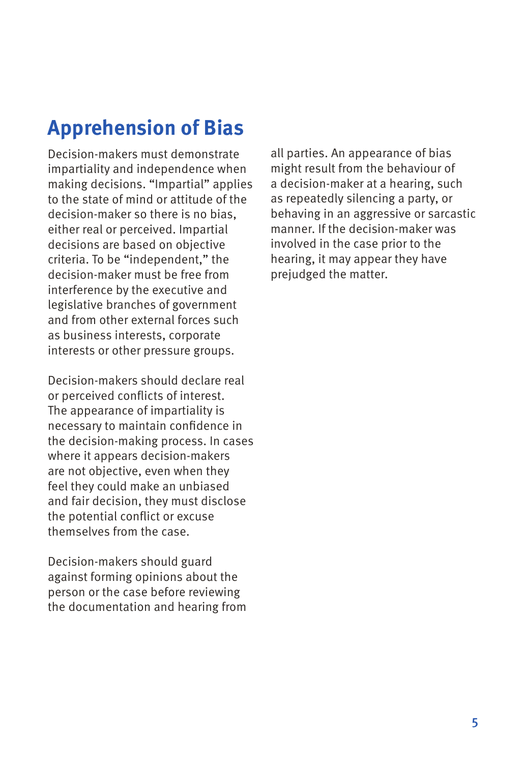# **Apprehension of Bias**

Decision-makers must demonstrate impartiality and independence when making decisions. "Impartial" applies to the state of mind or attitude of the decision-maker so there is no bias, either real or perceived. Impartial decisions are based on objective criteria. To be "independent," the decision-maker must be free from interference by the executive and legislative branches of government and from other external forces such as business interests, corporate interests or other pressure groups.

Decision-makers should declare real or perceived conflicts of interest. The appearance of impartiality is necessary to maintain confidence in the decision-making process. In cases where it appears decision-makers are not objective, even when they feel they could make an unbiased and fair decision, they must disclose the potential conflict or excuse themselves from the case.

Decision-makers should guard against forming opinions about the person or the case before reviewing the documentation and hearing from all parties. An appearance of bias might result from the behaviour of a decision-maker at a hearing, such as repeatedly silencing a party, or behaving in an aggressive or sarcastic manner. If the decision-maker was involved in the case prior to the hearing, it may appear they have prejudged the matter.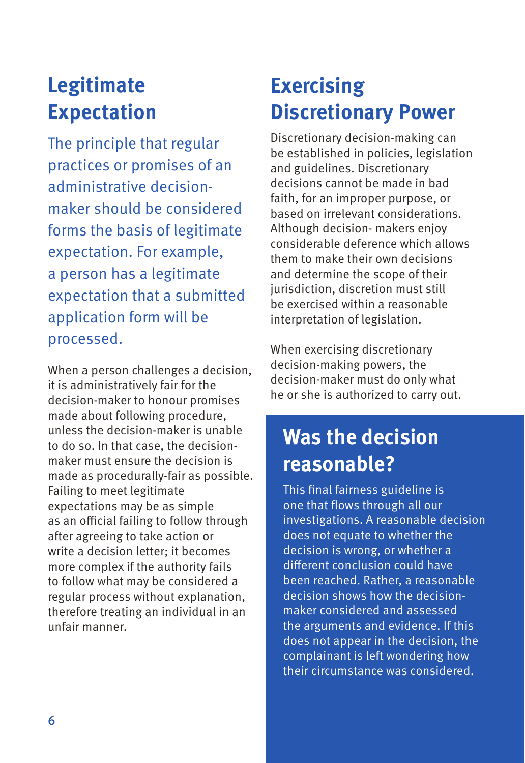# **Legitimate Expectation**

The principle that regular practices or promises of an administrative decisionmaker should be considered forms the basis of legitimate expectation. For example, a person has a legitimate expectation that a submitted application form will be processed.

When a person challenges a decision, it is administratively fair for the decision-maker to honour promises made about following procedure, unless the decision-maker is unable to do so. In that case, the decisionmaker must ensure the decision is made as procedurally-fair as possible. Failing to meet legitimate expectations may be as simple as an official failing to follow through after agreeing to take action or write a decision letter; it becomes more complex if the authority fails to follow what may be considered a regular process without explanation, therefore treating an individual in an unfair manner.

# **Exercising Discretionary Power**

Discretionary decision-making can be established in policies, legislation and guidelines. Discretionary decisions cannot be made in bad faith, for an improper purpose, or based on irrelevant considerations. Although decision- makers enjoy considerable deference which allows them to make their own decisions and determine the scope of their jurisdiction, discretion must still be exercised within a reasonable interpretation of legislation.

When exercising discretionary decision-making powers, the decision-maker must do only what he or she is authorized to carry out.

# **Was the decision reasonable?**

This final fairness guideline is one that flows through all our investigations. A reasonable decision does not equate to whether the decision is wrong, or whether a different conclusion could have been reached. Rather, a reasonable decision shows how the decisionmaker considered and assessed the arguments and evidence. If this does not appear in the decision, the complainant is left wondering how their circumstance was considered.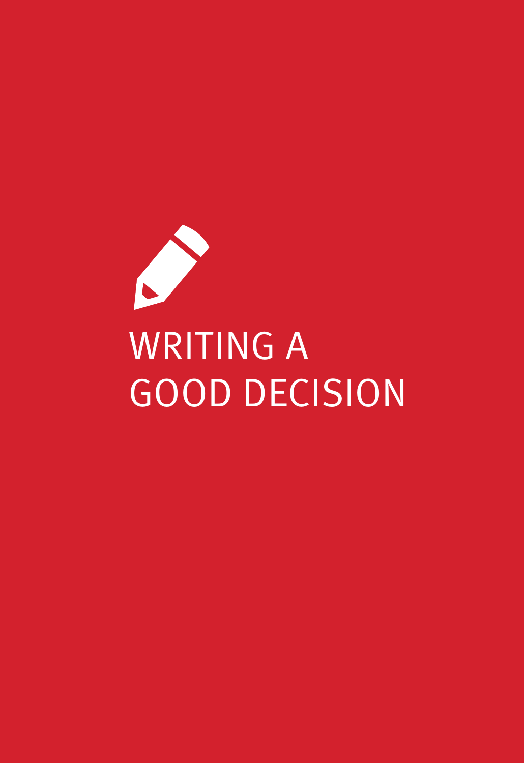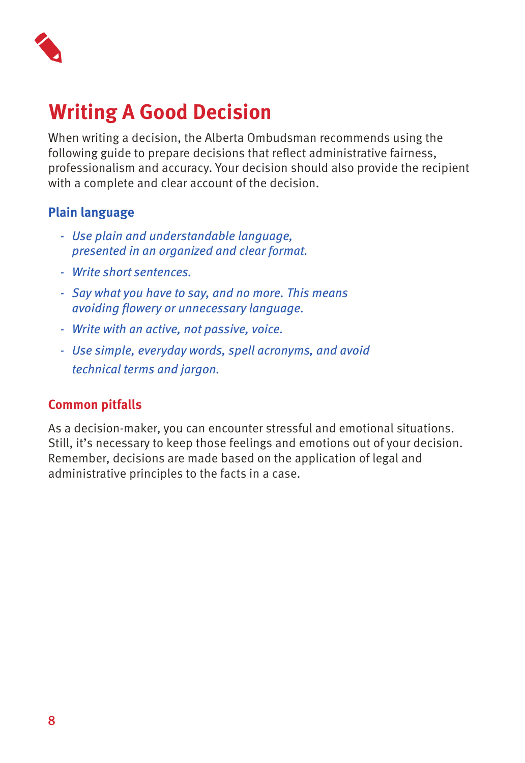

# **Writing A Good Decision**

When writing a decision, the Alberta Ombudsman recommends using the following guide to prepare decisions that reflect administrative fairness, professionalism and accuracy. Your decision should also provide the recipient with a complete and clear account of the decision.

#### **Plain language**

- *- Use plain and understandable language, presented in an organized and clear format.*
- *- Write short sentences.*
- *- Say what you have to say, and no more. This means avoiding flowery or unnecessary language.*
- *- Write with an active, not passive, voice.*
- *- Use simple, everyday words, spell acronyms, and avoid technical terms and jargon.*

#### **Common pitfalls**

As a decision-maker, you can encounter stressful and emotional situations. Still, it's necessary to keep those feelings and emotions out of your decision. Remember, decisions are made based on the application of legal and administrative principles to the facts in a case.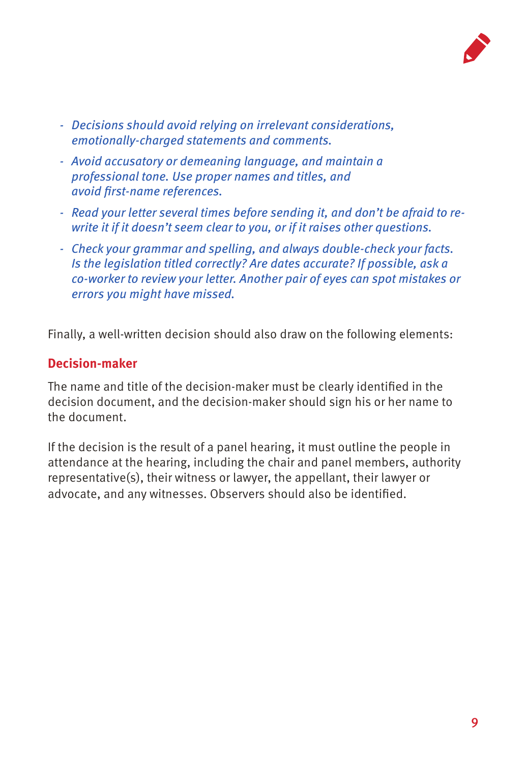

- *- Decisions should avoid relying on irrelevant considerations, emotionally-charged statements and comments.*
- *- Avoid accusatory or demeaning language, and maintain a professional tone. Use proper names and titles, and avoid first-name references.*
- *- Read your letter several times before sending it, and don't be afraid to rewrite it if it doesn't seem clear to you, or if it raises other questions.*
- *- Check your grammar and spelling, and always double-check your facts. Is the legislation titled correctly? Are dates accurate? If possible, ask a co-worker to review your letter. Another pair of eyes can spot mistakes or errors you might have missed.*

Finally, a well-written decision should also draw on the following elements:

#### **Decision-maker**

The name and title of the decision-maker must be clearly identified in the decision document, and the decision-maker should sign his or her name to the document.

If the decision is the result of a panel hearing, it must outline the people in attendance at the hearing, including the chair and panel members, authority representative(s), their witness or lawyer, the appellant, their lawyer or advocate, and any witnesses. Observers should also be identified.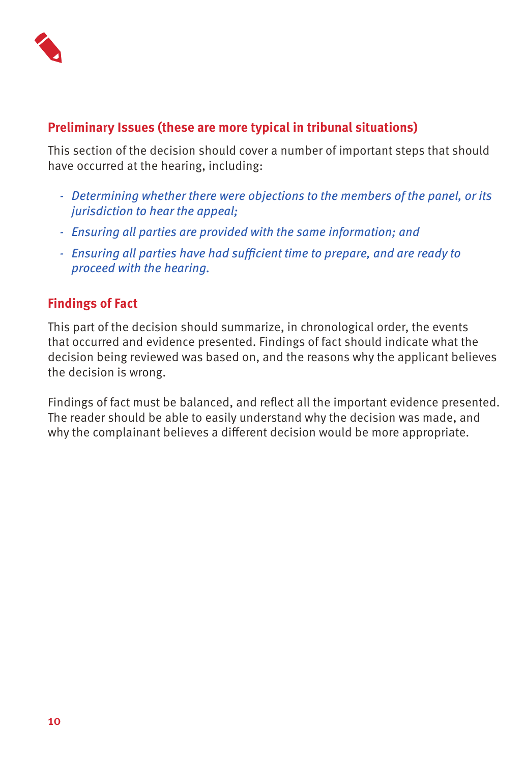

#### **Preliminary Issues (these are more typical in tribunal situations)**

This section of the decision should cover a number of important steps that should have occurred at the hearing, including:

- *- Determining whether there were objections to the members of the panel, or its jurisdiction to hear the appeal;*
- *- Ensuring all parties are provided with the same information; and*
- *- Ensuring all parties have had sufficient time to prepare, and are ready to proceed with the hearing.*

#### **Findings of Fact**

This part of the decision should summarize, in chronological order, the events that occurred and evidence presented. Findings of fact should indicate what the decision being reviewed was based on, and the reasons why the applicant believes the decision is wrong.

Findings of fact must be balanced, and reflect all the important evidence presented. The reader should be able to easily understand why the decision was made, and why the complainant believes a different decision would be more appropriate.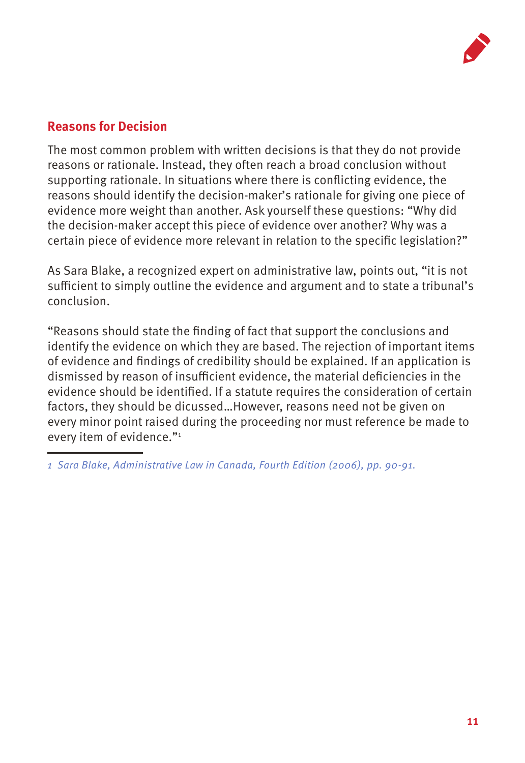

#### **Reasons for Decision**

The most common problem with written decisions is that they do not provide reasons or rationale. Instead, they often reach a broad conclusion without supporting rationale. In situations where there is conflicting evidence, the reasons should identify the decision-maker's rationale for giving one piece of evidence more weight than another. Ask yourself these questions: "Why did the decision-maker accept this piece of evidence over another? Why was a certain piece of evidence more relevant in relation to the specific legislation?"

As Sara Blake, a recognized expert on administrative law, points out, "it is not sufficient to simply outline the evidence and argument and to state a tribunal's conclusion.

"Reasons should state the finding of fact that support the conclusions and identify the evidence on which they are based. The rejection of important items of evidence and findings of credibility should be explained. If an application is dismissed by reason of insufficient evidence, the material deficiencies in the evidence should be identified. If a statute requires the consideration of certain factors, they should be dicussed…However, reasons need not be given on every minor point raised during the proceeding nor must reference be made to every item of evidence."1

*<sup>1</sup> Sara Blake, Administrative Law in Canada, Fourth Edition (2006), pp. 90-91.*